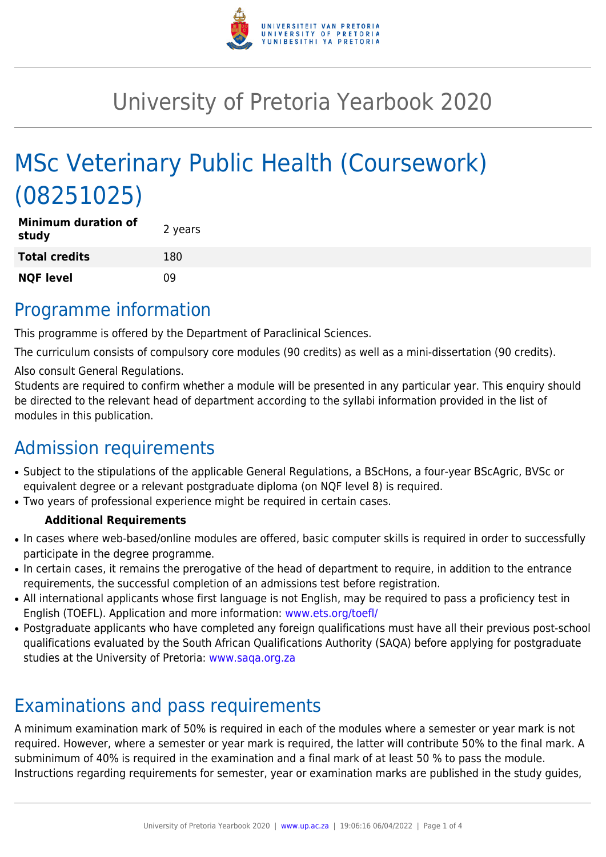

# University of Pretoria Yearbook 2020

# MSc Veterinary Public Health (Coursework) (08251025)

| <b>Minimum duration of</b><br>study | 2 years |
|-------------------------------------|---------|
| <b>Total credits</b>                | 180     |
| <b>NQF level</b>                    | n۹      |

# Programme information

This programme is offered by the Department of Paraclinical Sciences.

The curriculum consists of compulsory core modules (90 credits) as well as a mini-dissertation (90 credits).

Also consult General Regulations.

Students are required to confirm whether a module will be presented in any particular year. This enquiry should be directed to the relevant head of department according to the syllabi information provided in the list of modules in this publication.

# Admission requirements

- Subject to the stipulations of the applicable General Regulations, a BScHons, a four-year BScAgric, BVSc or equivalent degree or a relevant postgraduate diploma (on NQF level 8) is required.
- Two years of professional experience might be required in certain cases.

#### **Additional Requirements**

- In cases where web-based/online modules are offered, basic computer skills is required in order to successfully participate in the degree programme.
- In certain cases, it remains the prerogative of the head of department to require, in addition to the entrance requirements, the successful completion of an admissions test before registration.
- All international applicants whose first language is not English, may be required to pass a proficiency test in English (TOEFL). Application and more information: [www.ets.org/toefl/](http://www.ets.org/toefl/)
- Postgraduate applicants who have completed any foreign qualifications must have all their previous post-school qualifications evaluated by the South African Qualifications Authority (SAQA) before applying for postgraduate studies at the University of Pretoria: [www.saqa.org.za](http://www.saqa.org.za)

# Examinations and pass requirements

A minimum examination mark of 50% is required in each of the modules where a semester or year mark is not required. However, where a semester or year mark is required, the latter will contribute 50% to the final mark. A subminimum of 40% is required in the examination and a final mark of at least 50 % to pass the module. Instructions regarding requirements for semester, year or examination marks are published in the study guides,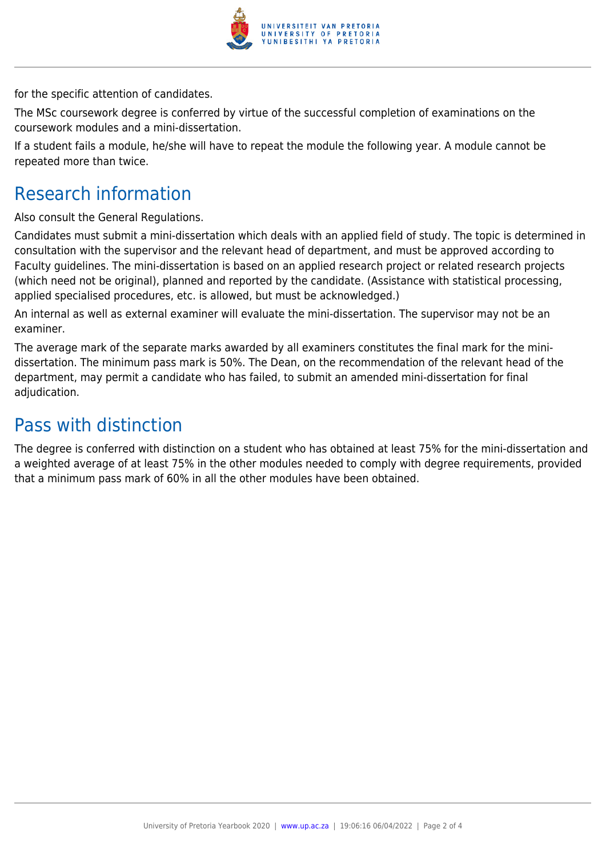

for the specific attention of candidates.

The MSc coursework degree is conferred by virtue of the successful completion of examinations on the coursework modules and a mini-dissertation.

If a student fails a module, he/she will have to repeat the module the following year. A module cannot be repeated more than twice.

# Research information

Also consult the General Regulations.

Candidates must submit a mini-dissertation which deals with an applied field of study. The topic is determined in consultation with the supervisor and the relevant head of department, and must be approved according to Faculty guidelines. The mini-dissertation is based on an applied research project or related research projects (which need not be original), planned and reported by the candidate. (Assistance with statistical processing, applied specialised procedures, etc. is allowed, but must be acknowledged.)

An internal as well as external examiner will evaluate the mini-dissertation. The supervisor may not be an examiner.

The average mark of the separate marks awarded by all examiners constitutes the final mark for the minidissertation. The minimum pass mark is 50%. The Dean, on the recommendation of the relevant head of the department, may permit a candidate who has failed, to submit an amended mini-dissertation for final adjudication.

## Pass with distinction

The degree is conferred with distinction on a student who has obtained at least 75% for the mini-dissertation and a weighted average of at least 75% in the other modules needed to comply with degree requirements, provided that a minimum pass mark of 60% in all the other modules have been obtained.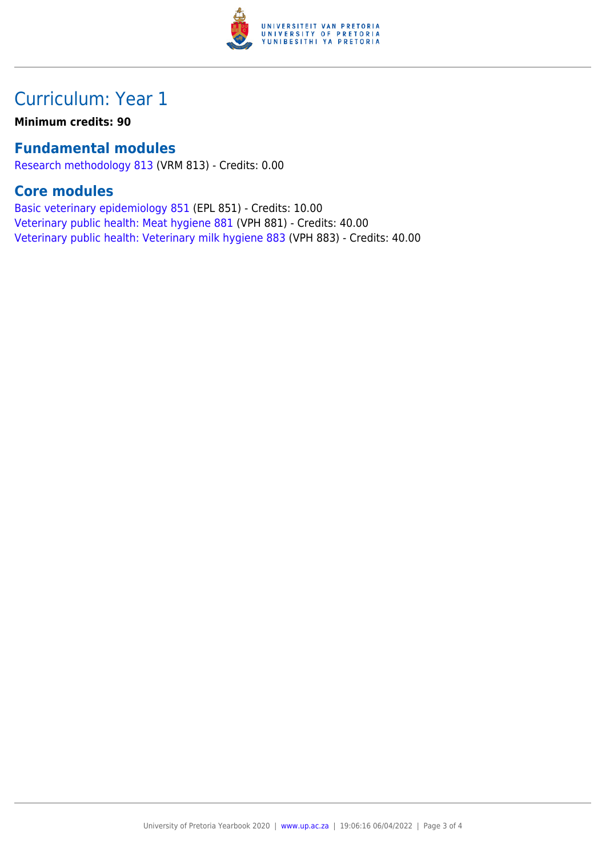

# Curriculum: Year 1

**Minimum credits: 90**

## **Fundamental modules**

[Research methodology 813](https://www.up.ac.za/faculty-of-education/yearbooks/2020/modules/view/VRM 813) (VRM 813) - Credits: 0.00

### **Core modules**

[Basic veterinary epidemiology 851](https://www.up.ac.za/faculty-of-education/yearbooks/2020/modules/view/EPL 851) (EPL 851) - Credits: 10.00 [Veterinary public health: Meat hygiene 881](https://www.up.ac.za/faculty-of-education/yearbooks/2020/modules/view/VPH 881) (VPH 881) - Credits: 40.00 [Veterinary public health: Veterinary milk hygiene 883](https://www.up.ac.za/faculty-of-education/yearbooks/2020/modules/view/VPH 883) (VPH 883) - Credits: 40.00